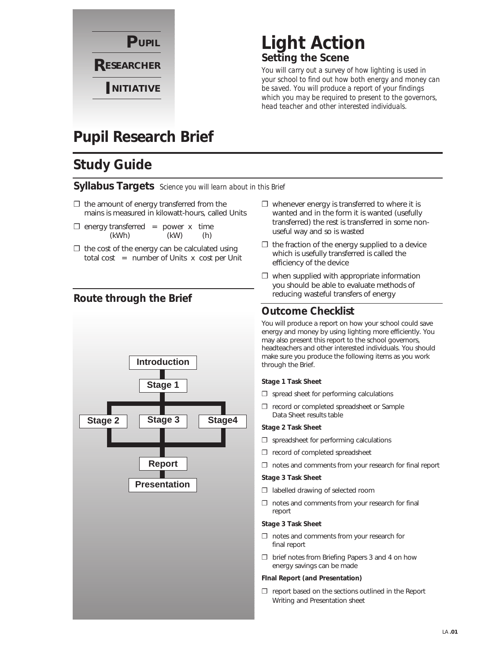

# **Light Action Setting the Scene**

*You will carry out a survey of how lighting is used in your school to find out how both energy and money can be saved. You will produce a report of your findings which you may be required to present to the governors, head teacher and other interested individuals.*

# **Pupil Research Brief**

# **Study Guide**

### **Syllabus Targets** *Science you will learn about in this Brief*

- $\Box$  the amount of energy transferred from the mains is measured in kilowatt-hours, called Units
- $\square$  energy transferred = power x time (kWh) (kW) (h)
- $\Box$  the cost of the energy can be calculated using total cost  $=$  number of Units x cost per Unit

### **Route through the Brief**



- $\Box$  whenever energy is transferred to where it is wanted and in the form it is wanted (usefully transferred) the rest is transferred in some nonuseful way and so is wasted
- $\Box$  the fraction of the energy supplied to a device which is usefully transferred is called the efficiency of the device
- $\square$  when supplied with appropriate information you should be able to evaluate methods of reducing wasteful transfers of energy

### **Outcome Checklist**

You will produce a report on how your school could save energy and money by using lighting more efficiently. You may also present this report to the school governors, headteachers and other interested individuals. You should make sure you produce the following items as you work through the Brief.

### **Stage 1 Task Sheet**

- $\square$  spread sheet for performing calculations
- ❐ record or completed spreadsheet or Sample Data Sheet results table

### **Stage 2 Task Sheet**

- ❐ spreadsheet for performing calculations
- ❐ record of completed spreadsheet
- ❐ notes and comments from your research for final report

### **Stage 3 Task Sheet**

- ❐ labelled drawing of selected room
- ❐ notes and comments from your research for final report

### **Stage 3 Task Sheet**

- ❐ notes and comments from your research for final report
- ❐ brief notes from Briefing Papers 3 and 4 on how energy savings can be made

### **FInal Report (and Presentation)**

❐ report based on the sections outlined in the Report Writing and Presentation sheet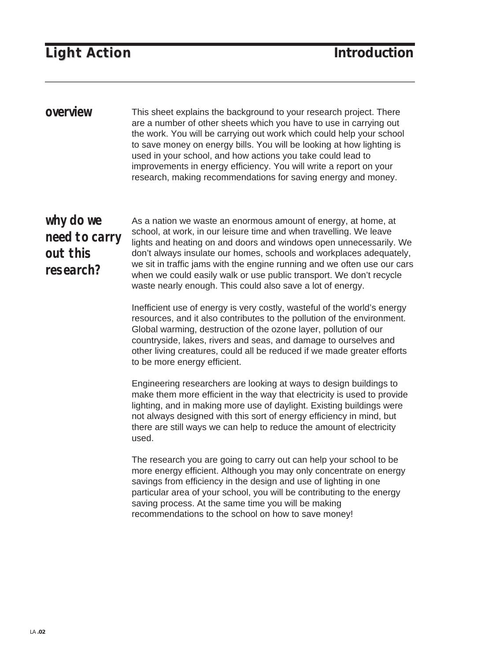## **Light Action Light Action Introduction**

This sheet explains the background to your research project. There are a number of other sheets which you have to use in carrying out the work. You will be carrying out work which could help your school to save money on energy bills. You will be looking at how lighting is used in your school, and how actions you take could lead to improvements in energy efficiency. You will write a report on your research, making recommendations for saving energy and money. **overview**

## **why do we need to carry out this research?**

As a nation we waste an enormous amount of energy, at home, at school, at work, in our leisure time and when travelling. We leave lights and heating on and doors and windows open unnecessarily. We don't always insulate our homes, schools and workplaces adequately, we sit in traffic jams with the engine running and we often use our cars when we could easily walk or use public transport. We don't recycle waste nearly enough. This could also save a lot of energy.

Inefficient use of energy is very costly, wasteful of the world's energy resources, and it also contributes to the pollution of the environment. Global warming, destruction of the ozone layer, pollution of our countryside, lakes, rivers and seas, and damage to ourselves and other living creatures, could all be reduced if we made greater efforts to be more energy efficient.

Engineering researchers are looking at ways to design buildings to make them more efficient in the way that electricity is used to provide lighting, and in making more use of daylight. Existing buildings were not always designed with this sort of energy efficiency in mind, but there are still ways we can help to reduce the amount of electricity used.

The research you are going to carry out can help your school to be more energy efficient. Although you may only concentrate on energy savings from efficiency in the design and use of lighting in one particular area of your school, you will be contributing to the energy saving process. At the same time you will be making recommendations to the school on how to save money!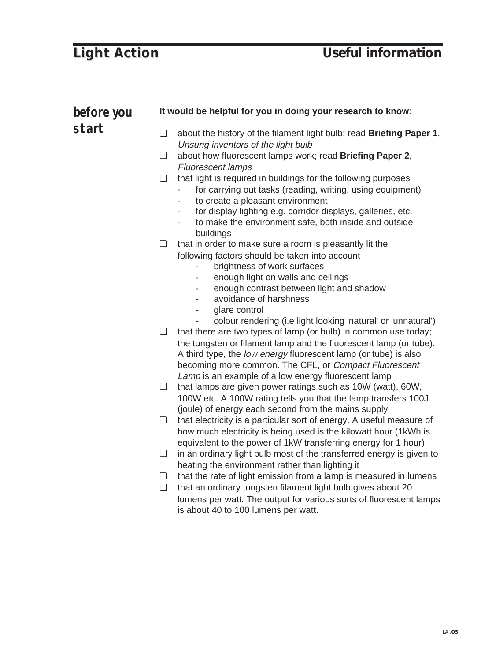| before you | It would be helpful for you in doing your research to know: |                                                                                                                                                                                                                                                                                                                                             |  |  |
|------------|-------------------------------------------------------------|---------------------------------------------------------------------------------------------------------------------------------------------------------------------------------------------------------------------------------------------------------------------------------------------------------------------------------------------|--|--|
| start      | $\Box$                                                      | about the history of the filament light bulb; read Briefing Paper 1,<br>Unsung inventors of the light bulb                                                                                                                                                                                                                                  |  |  |
|            | ❏                                                           | about how fluorescent lamps work; read Briefing Paper 2,<br><b>Fluorescent lamps</b>                                                                                                                                                                                                                                                        |  |  |
|            | $\Box$                                                      | that light is required in buildings for the following purposes<br>for carrying out tasks (reading, writing, using equipment)<br>to create a pleasant environment<br>for display lighting e.g. corridor displays, galleries, etc.<br>to make the environment safe, both inside and outside<br>buildings                                      |  |  |
|            | ❏                                                           | that in order to make sure a room is pleasantly lit the<br>following factors should be taken into account<br>brightness of work surfaces<br>enough light on walls and ceilings<br>enough contrast between light and shadow<br>avoidance of harshness<br>glare control<br>۰<br>colour rendering (i.e light looking 'natural' or 'unnatural') |  |  |
|            | $\Box$                                                      | that there are two types of lamp (or bulb) in common use today;<br>the tungsten or filament lamp and the fluorescent lamp (or tube).<br>A third type, the low energy fluorescent lamp (or tube) is also<br>becoming more common. The CFL, or Compact Fluorescent<br>Lamp is an example of a low energy fluorescent lamp                     |  |  |
|            | ❏                                                           | that lamps are given power ratings such as 10W (watt), 60W,<br>100W etc. A 100W rating tells you that the lamp transfers 100J<br>(joule) of energy each second from the mains supply                                                                                                                                                        |  |  |
|            | ❏                                                           | that electricity is a particular sort of energy. A useful measure of<br>how much electricity is being used is the kilowatt hour (1kWh is<br>equivalent to the power of 1kW transferring energy for 1 hour)                                                                                                                                  |  |  |
|            |                                                             | $\Box$ in an ordinary light bulb most of the transferred energy is given to<br>heating the environment rather than lighting it                                                                                                                                                                                                              |  |  |
|            | ❏                                                           | that the rate of light emission from a lamp is measured in lumens                                                                                                                                                                                                                                                                           |  |  |
|            | ❏                                                           | that an ordinary tungsten filament light bulb gives about 20<br>lumens per watt. The output for various sorts of fluorescent lamps<br>is about 40 to 100 lumens per watt.                                                                                                                                                                   |  |  |
|            |                                                             |                                                                                                                                                                                                                                                                                                                                             |  |  |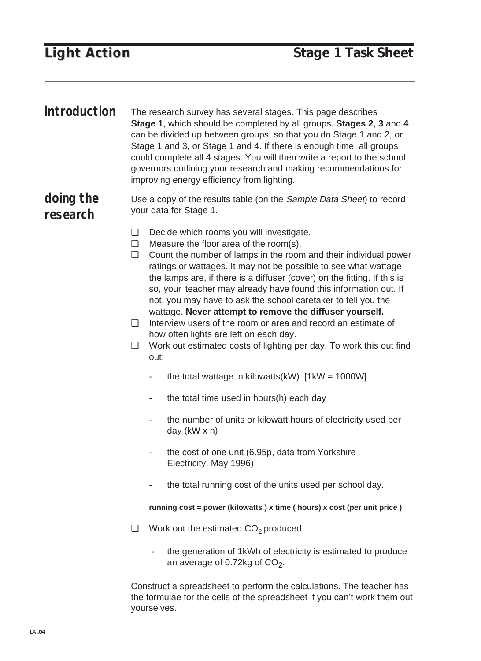The research survey has several stages. This page describes **Stage 1**, which should be completed by all groups. **Stages 2**, **3** and **4** can be divided up between groups, so that you do Stage 1 and 2, or Stage 1 and 3, or Stage 1 and 4. If there is enough time, all groups could complete all 4 stages. You will then write a report to the school governors outlining your research and making recommendations for improving energy efficiency from lighting. **introduction**

Use a copy of the results table (on the Sample Data Sheet) to record your data for Stage 1. **doing the research**

- ❏ Decide which rooms you will investigate.
- ❏ Measure the floor area of the room(s).
- ❏ Count the number of lamps in the room and their individual power ratings or wattages. It may not be possible to see what wattage the lamps are, if there is a diffuser (cover) on the fitting. If this is so, your teacher may already have found this information out. If not, you may have to ask the school caretaker to tell you the wattage. **Never attempt to remove the diffuser yourself.**
- ❏ Interview users of the room or area and record an estimate of how often lights are left on each day.
- ❏ Work out estimated costs of lighting per day. To work this out find out:
	- the total wattage in kilowatts(kW)  $[1kW = 1000W]$
	- the total time used in hours(h) each day
	- the number of units or kilowatt hours of electricity used per day (kW x h)
	- the cost of one unit (6.95p, data from Yorkshire Electricity, May 1996)
	- the total running cost of the units used per school day.

**running cost = power (kilowatts ) x time ( hours) x cost (per unit price )**

- $\Box$  Work out the estimated  $CO<sub>2</sub>$  produced
	- the generation of 1kWh of electricity is estimated to produce an average of 0.72kg of  $CO<sub>2</sub>$ .

Construct a spreadsheet to perform the calculations. The teacher has the formulae for the cells of the spreadsheet if you can't work them out yourselves.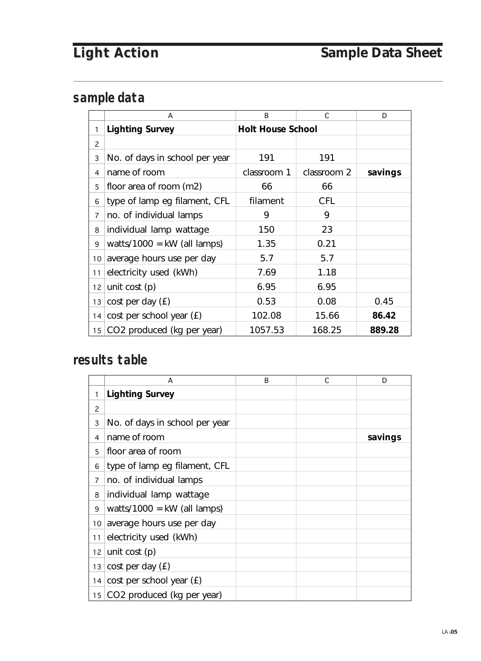## **sample data**

|                | A                              | <sub>R</sub>             | C.          | D       |
|----------------|--------------------------------|--------------------------|-------------|---------|
| 1              | <b>Lighting Survey</b>         | <b>Holt House School</b> |             |         |
| $\overline{c}$ |                                |                          |             |         |
| 3              | No. of days in school per year | 191                      | 191         |         |
| 4              | name of room                   | classroom 1              | classroom 2 | savings |
| 5              | floor area of room (m2)        | 66                       | 66          |         |
| 6              | type of lamp eg filament, CFL  | filament                 | <b>CFL</b>  |         |
| $\overline{7}$ | no. of individual lamps        | 9                        | 9           |         |
| 8              | individual lamp wattage        | 150                      | 23          |         |
| 9              | watts/1000 = $kW$ (all lamps)  | 1.35                     | 0.21        |         |
| 10             | average hours use per day      | 5.7                      | 5.7         |         |
| 11             | electricity used (kWh)         | 7.69                     | 1.18        |         |
| 12             | unit cost $(p)$                | 6.95                     | 6.95        |         |
| 13             | $cost$ per day $(E)$           | 0.53                     | 0.08        | 0.45    |
| 14             | cost per school year $(E)$     | 102.08                   | 15.66       | 86.42   |
|                | 15 CO2 produced (kg per year)  | 1057.53                  | 168.25      | 889.28  |

## **results table**

|                | A                              | <sub>R</sub> | C | D       |
|----------------|--------------------------------|--------------|---|---------|
| 1              | <b>Lighting Survey</b>         |              |   |         |
| 2              |                                |              |   |         |
| 3              | No. of days in school per year |              |   |         |
| 4              | name of room                   |              |   | savings |
| 5              | floor area of room             |              |   |         |
| 6              | type of lamp eg filament, CFL  |              |   |         |
| $\overline{7}$ | no. of individual lamps        |              |   |         |
| 8              | individual lamp wattage        |              |   |         |
| 9              | watts/1000 = $kW$ (all lamps)  |              |   |         |
| 10             | average hours use per day      |              |   |         |
| 11             | electricity used (kWh)         |              |   |         |
| 12             | unit cost $(p)$                |              |   |         |
| 13             | $cost$ per day $(E)$           |              |   |         |
| 14             | cost per school year (£)       |              |   |         |
|                | 15 CO2 produced (kg per year)  |              |   |         |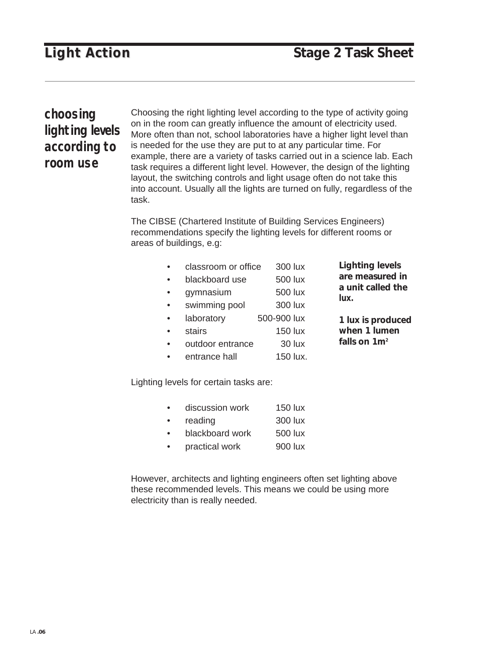**1 lux is produced**

## **choosing lighting levels according to room use**

Choosing the right lighting level according to the type of activity going on in the room can greatly influence the amount of electricity used. More often than not, school laboratories have a higher light level than is needed for the use they are put to at any particular time. For example, there are a variety of tasks carried out in a science lab. Each task requires a different light level. However, the design of the lighting layout, the switching controls and light usage often do not take this into account. Usually all the lights are turned on fully, regardless of the task.

The CIBSE (Chartered Institute of Building Services Engineers) recommendations specify the lighting levels for different rooms or areas of buildings, e.g:

| $\bullet$ | classroom or office                    |             | 300 lux        | <b>Lighting levels</b>    |
|-----------|----------------------------------------|-------------|----------------|---------------------------|
| $\bullet$ | blackboard use                         |             | 500 lux        | are measured in           |
| $\bullet$ | gymnasium                              |             | 500 lux        | a unit called the<br>lux. |
| $\bullet$ | swimming pool                          |             | 300 lux        |                           |
| $\bullet$ | laboratory                             | 500-900 lux |                | 1 lux is produced         |
| $\bullet$ | stairs                                 |             | <b>150 lux</b> | when 1 lumen              |
| $\bullet$ | outdoor entrance                       |             | 30 lux         | falls on $1m^2$           |
| $\bullet$ | entrance hall                          |             | 150 lux.       |                           |
|           | Lighting levels for certain tasks are: |             |                |                           |
|           |                                        |             |                |                           |

| $\bullet$ | discussion work | 150 lux |
|-----------|-----------------|---------|
| $\bullet$ | reading         | 300 lux |
| $\bullet$ | blackboard work | 500 lux |

• practical work 900 lux

However, architects and lighting engineers often set lighting above these recommended levels. This means we could be using more electricity than is really needed.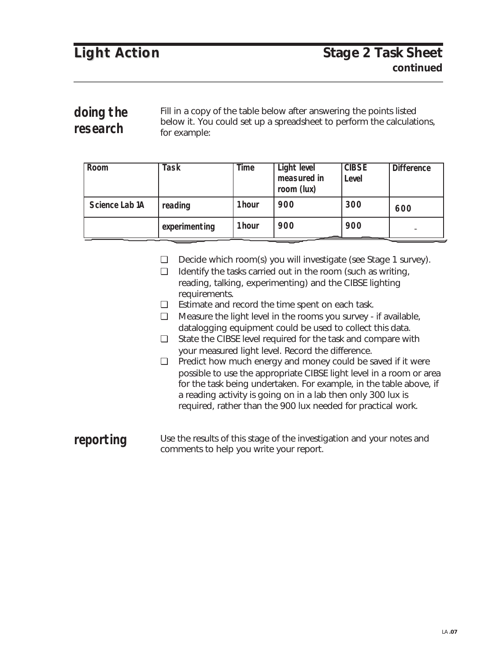Fill in a copy of the table below after answering the points listed below it. You could set up a spreadsheet to perform the calculations, for example: **doing the research**

| Room           | <b>Task</b>   | Time | Light level<br>measured in<br>room (lux) | <b>CIBSE</b><br>Level | <b>Difference</b> |
|----------------|---------------|------|------------------------------------------|-----------------------|-------------------|
| Science Lab 1A | reading       | hour | 900                                      | 300                   | 600               |
|                | experimenting | hour | 900                                      | 900                   | <b>COL</b>        |

❏ Decide which room(s) you will investigate (see Stage 1 survey).

- ❏ Identify the tasks carried out in the room (such as writing, reading, talking, experimenting) and the CIBSE lighting requirements.
- ❏ Estimate and record the time spent on each task.
- ❏ Measure the light level in the rooms you survey if available, datalogging equipment could be used to collect this data.
- ❏ State the CIBSE level required for the task and compare with your measured light level. Record the difference.
- ❏ Predict how much energy and money could be saved if it were possible to use the appropriate CIBSE light level in a room or area for the task being undertaken. For example, in the table above, if a reading activity is going on in a lab then only 300 lux is required, rather than the 900 lux needed for practical work.
- Use the results of this stage of the investigation and your notes and comments to help you write your report. **reporting**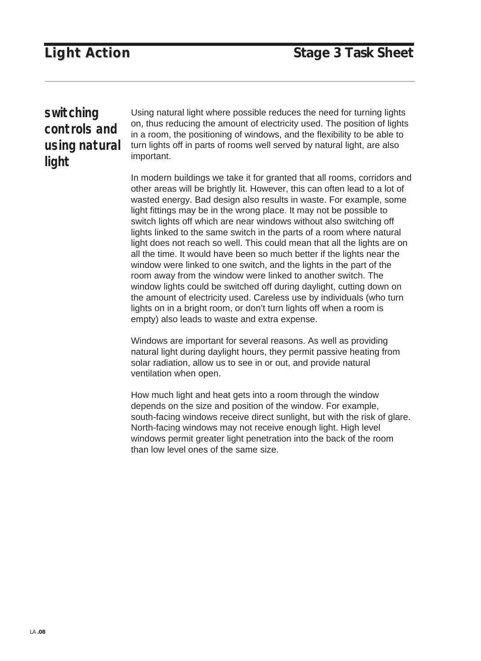### **switching controls and using natural light**

Using natural light where possible reduces the need for turning lights on, thus reducing the amount of electricity used. The position of lights in a room, the positioning of windows, and the flexibility to be able to turn lights off in parts of rooms well served by natural light, are also important.

In modern buildings we take it for granted that all rooms, corridors and other areas will be brightly lit. However, this can often lead to a lot of wasted energy. Bad design also results in waste. For example, some light fittings may be in the wrong place. It may not be possible to switch lights off which are near windows without also switching off lights linked to the same switch in the parts of a room where natural light does not reach so well. This could mean that all the lights are on all the time. It would have been so much better if the lights near the window were linked to one switch, and the lights in the part of the room away from the window were linked to another switch. The window lights could be switched off during daylight, cutting down on the amount of electricity used. Careless use by individuals (who turn lights on in a bright room, or don't turn lights off when a room is empty) also leads to waste and extra expense.

Windows are important for several reasons. As well as providing natural light during daylight hours, they permit passive heating from solar radiation, allow us to see in or out, and provide natural ventilation when open.

How much light and heat gets into a room through the window depends on the size and position of the window. For example, south-facing windows receive direct sunlight, but with the risk of glare. North-facing windows may not receive enough light. High level windows permit greater light penetration into the back of the room than low level ones of the same size.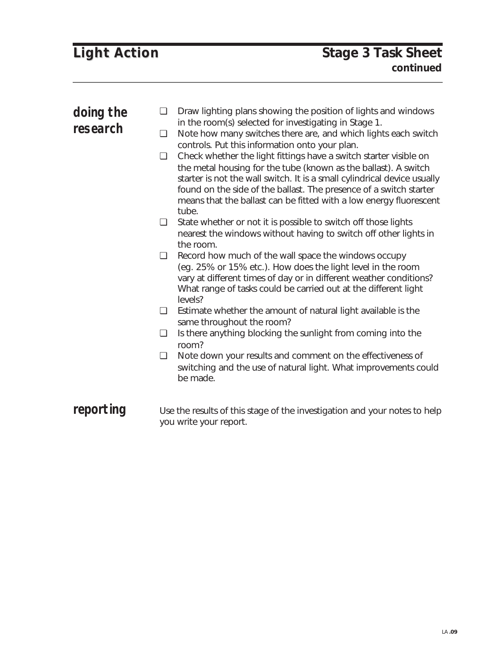| doing the<br>research | $\Box$<br>$\Box$<br>$\Box$ | Draw lighting plans showing the position of lights and windows<br>in the room(s) selected for investigating in Stage 1.<br>Note how many switches there are, and which lights each switch<br>controls. Put this information onto your plan.<br>Check whether the light fittings have a switch starter visible on<br>the metal housing for the tube (known as the ballast). A switch<br>starter is not the wall switch. It is a small cylindrical device usually<br>found on the side of the ballast. The presence of a switch starter<br>means that the ballast can be fitted with a low energy fluorescent<br>tube. |
|-----------------------|----------------------------|----------------------------------------------------------------------------------------------------------------------------------------------------------------------------------------------------------------------------------------------------------------------------------------------------------------------------------------------------------------------------------------------------------------------------------------------------------------------------------------------------------------------------------------------------------------------------------------------------------------------|
|                       | $\Box$                     | State whether or not it is possible to switch off those lights<br>nearest the windows without having to switch off other lights in<br>the room.                                                                                                                                                                                                                                                                                                                                                                                                                                                                      |
|                       | $\Box$                     | Record how much of the wall space the windows occupy<br>(eg. 25% or 15% etc.). How does the light level in the room<br>vary at different times of day or in different weather conditions?<br>What range of tasks could be carried out at the different light<br>levels?                                                                                                                                                                                                                                                                                                                                              |
|                       | $\Box$                     | Estimate whether the amount of natural light available is the<br>same throughout the room?                                                                                                                                                                                                                                                                                                                                                                                                                                                                                                                           |
|                       | ❏                          | Is there anything blocking the sunlight from coming into the<br>room?                                                                                                                                                                                                                                                                                                                                                                                                                                                                                                                                                |
|                       | $\Box$                     | Note down your results and comment on the effectiveness of<br>switching and the use of natural light. What improvements could<br>be made.                                                                                                                                                                                                                                                                                                                                                                                                                                                                            |
| reporting             |                            | Use the results of this stage of the investigation and your notes to help<br>you write your report.                                                                                                                                                                                                                                                                                                                                                                                                                                                                                                                  |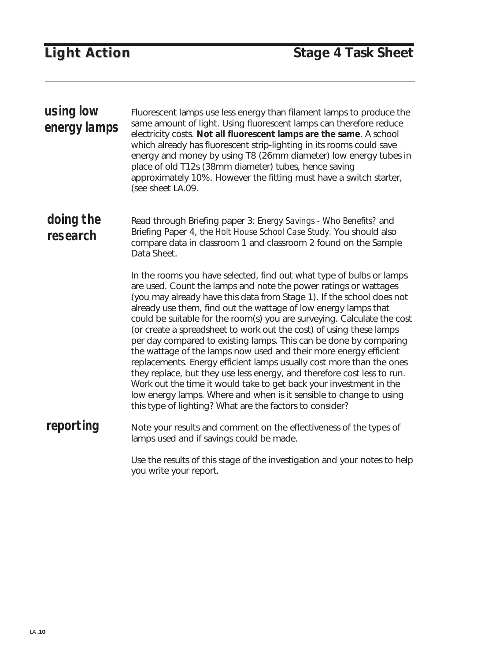| using low<br>energy lamps | Fluorescent lamps use less energy than filament lamps to produce the<br>same amount of light. Using fluorescent lamps can therefore reduce<br>electricity costs. Not all fluorescent lamps are the same. A school<br>which already has fluorescent strip-lighting in its rooms could save<br>energy and money by using T8 (26mm diameter) low energy tubes in<br>place of old T12s (38mm diameter) tubes, hence saving<br>approximately 10%. However the fitting must have a switch starter,<br>(see sheet LA.09.                                                                                                                                                                                                                                                                                                                                                                                                                           |
|---------------------------|---------------------------------------------------------------------------------------------------------------------------------------------------------------------------------------------------------------------------------------------------------------------------------------------------------------------------------------------------------------------------------------------------------------------------------------------------------------------------------------------------------------------------------------------------------------------------------------------------------------------------------------------------------------------------------------------------------------------------------------------------------------------------------------------------------------------------------------------------------------------------------------------------------------------------------------------|
| doing the<br>research     | Read through Briefing paper 3: Energy Savings - Who Benefits? and<br>Briefing Paper 4, the Holt House School Case Study. You should also<br>compare data in classroom 1 and classroom 2 found on the Sample<br>Data Sheet.                                                                                                                                                                                                                                                                                                                                                                                                                                                                                                                                                                                                                                                                                                                  |
|                           | In the rooms you have selected, find out what type of bulbs or lamps<br>are used. Count the lamps and note the power ratings or wattages<br>(you may already have this data from Stage 1). If the school does not<br>already use them, find out the wattage of low energy lamps that<br>could be suitable for the room(s) you are surveying. Calculate the cost<br>(or create a spreadsheet to work out the cost) of using these lamps<br>per day compared to existing lamps. This can be done by comparing<br>the wattage of the lamps now used and their more energy efficient<br>replacements. Energy efficient lamps usually cost more than the ones<br>they replace, but they use less energy, and therefore cost less to run.<br>Work out the time it would take to get back your investment in the<br>low energy lamps. Where and when is it sensible to change to using<br>this type of lighting? What are the factors to consider? |
| reporting                 | Note your results and comment on the effectiveness of the types of<br>lamps used and if savings could be made.                                                                                                                                                                                                                                                                                                                                                                                                                                                                                                                                                                                                                                                                                                                                                                                                                              |
|                           | Use the results of this stage of the investigation and your notes to help<br>you write your report.                                                                                                                                                                                                                                                                                                                                                                                                                                                                                                                                                                                                                                                                                                                                                                                                                                         |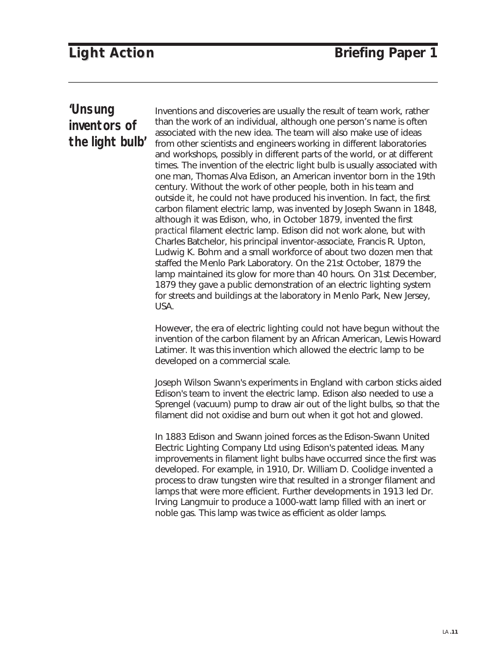### **'Unsung inventors of the light bulb'**

Inventions and discoveries are usually the result of team work, rather than the work of an individual, although one person's name is often associated with the new idea. The team will also make use of ideas from other scientists and engineers working in different laboratories and workshops, possibly in different parts of the world, or at different times. The invention of the electric light bulb is usually associated with one man, Thomas Alva Edison, an American inventor born in the 19th century. Without the work of other people, both in his team and outside it, he could not have produced his invention. In fact, the first carbon filament electric lamp, was invented by Joseph Swann in 1848, although it was Edison, who, in October 1879, invented the first *practical* filament electric lamp. Edison did not work alone, but with Charles Batchelor, his principal inventor-associate, Francis R. Upton, Ludwig K. Bohm and a small workforce of about two dozen men that staffed the Menlo Park Laboratory. On the 21st October, 1879 the lamp maintained its glow for more than 40 hours. On 31st December, 1879 they gave a public demonstration of an electric lighting system for streets and buildings at the laboratory in Menlo Park, New Jersey, USA.

However, the era of electric lighting could not have begun without the invention of the carbon filament by an African American, Lewis Howard Latimer. It was this invention which allowed the electric lamp to be developed on a commercial scale.

Joseph Wilson Swann's experiments in England with carbon sticks aided Edison's team to invent the electric lamp. Edison also needed to use a Sprengel (vacuum) pump to draw air out of the light bulbs, so that the filament did not oxidise and burn out when it got hot and glowed.

In 1883 Edison and Swann joined forces as the Edison-Swann United Electric Lighting Company Ltd using Edison's patented ideas. Many improvements in filament light bulbs have occurred since the first was developed. For example, in 1910, Dr. William D. Coolidge invented a process to draw tungsten wire that resulted in a stronger filament and lamps that were more efficient. Further developments in 1913 led Dr. Irving Langmuir to produce a 1000-watt lamp filled with an inert or noble gas. This lamp was twice as efficient as older lamps.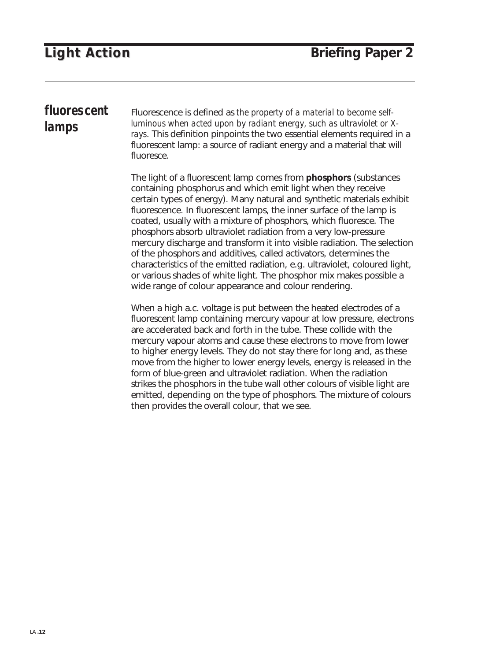## **fluorescent lamps**

Fluorescence is defined as *the property of a material to become selfluminous when acted upon by radiant energy, such as ultraviolet or Xrays*. This definition pinpoints the two essential elements required in a fluorescent lamp: a source of radiant energy and a material that will fluoresce.

The light of a fluorescent lamp comes from **phosphors** (substances containing phosphorus and which emit light when they receive certain types of energy). Many natural and synthetic materials exhibit fluorescence. In fluorescent lamps, the inner surface of the lamp is coated, usually with a mixture of phosphors, which fluoresce. The phosphors absorb ultraviolet radiation from a very low-pressure mercury discharge and transform it into visible radiation. The selection of the phosphors and additives, called activators, determines the characteristics of the emitted radiation, e.g. ultraviolet, coloured light, or various shades of white light. The phosphor mix makes possible a wide range of colour appearance and colour rendering.

When a high a.c. voltage is put between the heated electrodes of a fluorescent lamp containing mercury vapour at low pressure, electrons are accelerated back and forth in the tube. These collide with the mercury vapour atoms and cause these electrons to move from lower to higher energy levels. They do not stay there for long and, as these move from the higher to lower energy levels, energy is released in the form of blue-green and ultraviolet radiation. When the radiation strikes the phosphors in the tube wall other colours of visible light are emitted, depending on the type of phosphors. The mixture of colours then provides the overall colour, that we see.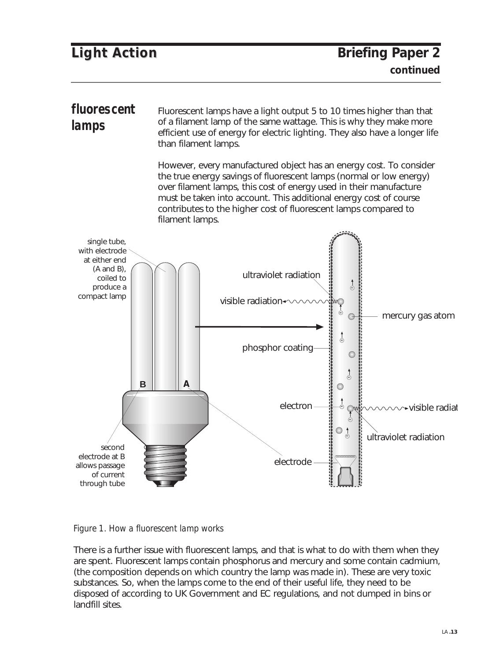Fluorescent lamps have a light output 5 to 10 times higher than that of a filament lamp of the same wattage. This is why they make more efficient use of energy for electric lighting. They also have a longer life than filament lamps. **fluorescent lamps**

> However, every manufactured object has an energy cost. To consider the true energy savings of fluorescent lamps (normal or low energy) over filament lamps, this cost of energy used in their manufacture must be taken into account. This additional energy cost of course contributes to the higher cost of fluorescent lamps compared to filament lamps.



*Figure 1. How a fluorescent lamp works*

There is a further issue with fluorescent lamps, and that is what to do with them when they are spent. Fluorescent lamps contain phosphorus and mercury and some contain cadmium, (the composition depends on which country the lamp was made in). These are very toxic substances. So, when the lamps come to the end of their useful life, they need to be disposed of according to UK Government and EC regulations, and not dumped in bins or landfill sites.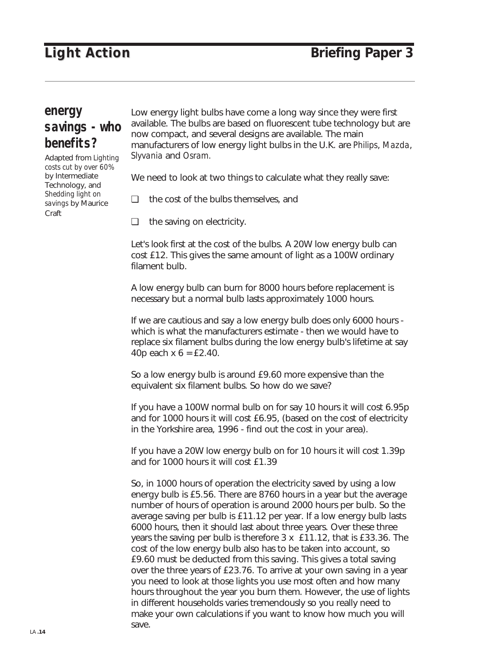### **energy savings - who benefits?**

Adapted from *Lighting costs cut by over 60%* by Intermediate Technology, and *Shedding light on savings* by Maurice Craft

Low energy light bulbs have come a long way since they were first available. The bulbs are based on fluorescent tube technology but are now compact, and several designs are available. The main manufacturers of low energy light bulbs in the U.K. are *Philips*, *Mazda*, *Slyvania* and *Osram.* 

We need to look at two things to calculate what they really save:

❏ the cost of the bulbs themselves, and

❏ the saving on electricity.

Let's look first at the cost of the bulbs. A 20W low energy bulb can cost £12. This gives the same amount of light as a 100W ordinary filament bulb.

A low energy bulb can burn for 8000 hours before replacement is necessary but a normal bulb lasts approximately 1000 hours.

If we are cautious and say a low energy bulb does only 6000 hours which is what the manufacturers estimate - then we would have to replace six filament bulbs during the low energy bulb's lifetime at say 40p each  $x$  6 = £2.40.

So a low energy bulb is around £9.60 more expensive than the equivalent six filament bulbs. So how do we save?

If you have a 100W normal bulb on for say 10 hours it will cost 6.95p and for 1000 hours it will cost £6.95, (based on the cost of electricity in the Yorkshire area, 1996 - find out the cost in your area).

If you have a 20W low energy bulb on for 10 hours it will cost 1.39p and for 1000 hours it will cost £1.39

So, in 1000 hours of operation the electricity saved by using a low energy bulb is £5.56. There are 8760 hours in a year but the average number of hours of operation is around 2000 hours per bulb. So the average saving per bulb is £11.12 per year. If a low energy bulb lasts 6000 hours, then it should last about three years. Over these three years the saving per bulb is therefore 3 x £11.12, that is £33.36. The cost of the low energy bulb also has to be taken into account, so £9.60 must be deducted from this saving. This gives a total saving over the three years of £23.76. To arrive at your own saving in a year you need to look at those lights you use most often and how many hours throughout the year you burn them. However, the use of lights in different households varies tremendously so you really need to make your own calculations if you want to know how much you will save.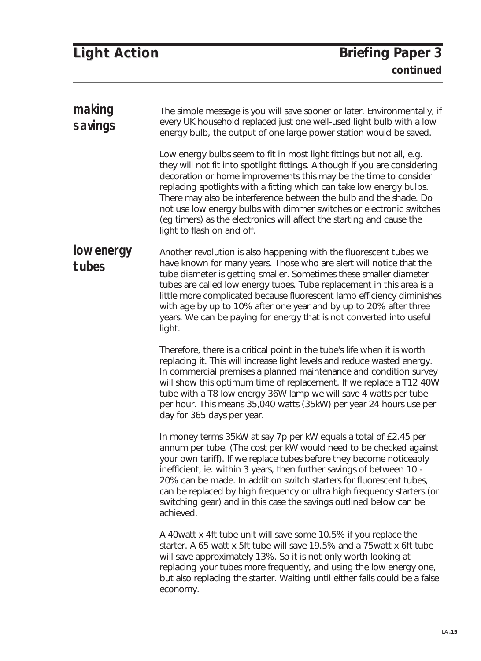|  | <b>Light Action</b> |
|--|---------------------|
|--|---------------------|

| making<br>savings   | The simple message is you will save sooner or later. Environmentally, if<br>every UK household replaced just one well-used light bulb with a low<br>energy bulb, the output of one large power station would be saved.                                                                                                                                                                                                                                                                                                                              |
|---------------------|-----------------------------------------------------------------------------------------------------------------------------------------------------------------------------------------------------------------------------------------------------------------------------------------------------------------------------------------------------------------------------------------------------------------------------------------------------------------------------------------------------------------------------------------------------|
|                     | Low energy bulbs seem to fit in most light fittings but not all, e.g.<br>they will not fit into spotlight fittings. Although if you are considering<br>decoration or home improvements this may be the time to consider<br>replacing spotlights with a fitting which can take low energy bulbs.<br>There may also be interference between the bulb and the shade. Do<br>not use low energy bulbs with dimmer switches or electronic switches<br>(eg timers) as the electronics will affect the starting and cause the<br>light to flash on and off. |
| low energy<br>tubes | Another revolution is also happening with the fluorescent tubes we<br>have known for many years. Those who are alert will notice that the<br>tube diameter is getting smaller. Sometimes these smaller diameter<br>tubes are called low energy tubes. Tube replacement in this area is a<br>little more complicated because fluorescent lamp efficiency diminishes<br>with age by up to 10% after one year and by up to 20% after three<br>years. We can be paying for energy that is not converted into useful<br>light.                           |
|                     | Therefore, there is a critical point in the tube's life when it is worth<br>replacing it. This will increase light levels and reduce wasted energy.<br>In commercial premises a planned maintenance and condition survey<br>will show this optimum time of replacement. If we replace a T12 40W<br>tube with a T8 low energy 36W lamp we will save 4 watts per tube<br>per hour. This means 35,040 watts (35kW) per year 24 hours use per<br>day for 365 days per year.                                                                             |
|                     | In money terms 35kW at say 7p per kW equals a total of £2.45 per<br>annum per tube. (The cost per kW would need to be checked against<br>your own tariff). If we replace tubes before they become noticeably<br>inefficient, ie. within 3 years, then further savings of between 10 -<br>20% can be made. In addition switch starters for fluorescent tubes,<br>can be replaced by high frequency or ultra high frequency starters (or<br>switching gear) and in this case the savings outlined below can be<br>achieved.                           |
|                     | A 40 watt x 4ft tube unit will save some 10.5% if you replace the<br>starter. A 65 watt x 5ft tube will save 19.5% and a 75 watt x 6ft tube<br>will save approximately 13%. So it is not only worth looking at<br>replacing your tubes more frequently, and using the low energy one,<br>but also replacing the starter. Waiting until either fails could be a false<br>economy.                                                                                                                                                                    |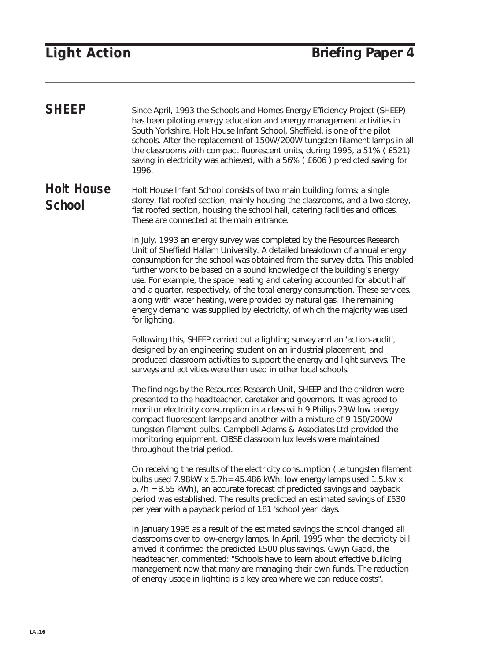Since April, 1993 the Schools and Homes Energy Efficiency Project (SHEEP) has been piloting energy education and energy management activities in South Yorkshire. Holt House Infant School, Sheffield, is one of the pilot schools. After the replacement of 150W/200W tungsten filament lamps in all the classrooms with compact fluorescent units, during 1995, a 51% ( £521) saving in electricity was achieved, with a 56% ( £606 ) predicted saving for 1996. **SHEEP**

Holt House Infant School consists of two main building forms: a single storey, flat roofed section, mainly housing the classrooms, and a two storey, flat roofed section, housing the school hall, catering facilities and offices. These are connected at the main entrance. **Holt House School**

> In July, 1993 an energy survey was completed by the Resources Research Unit of Sheffield Hallam University. A detailed breakdown of annual energy consumption for the school was obtained from the survey data. This enabled further work to be based on a sound knowledge of the building's energy use. For example, the space heating and catering accounted for about half and a quarter, respectively, of the total energy consumption. These services, along with water heating, were provided by natural gas. The remaining energy demand was supplied by electricity, of which the majority was used for lighting.

Following this, SHEEP carried out a lighting survey and an 'action-audit', designed by an engineering student on an industrial placement, and produced classroom activities to support the energy and light surveys. The surveys and activities were then used in other local schools.

The findings by the Resources Research Unit, SHEEP and the children were presented to the headteacher, caretaker and governors. It was agreed to monitor electricity consumption in a class with 9 Philips 23W low energy compact fluorescent lamps and another with a mixture of 9 150/200W tungsten filament bulbs. Campbell Adams & Associates Ltd provided the monitoring equipment. CIBSE classroom lux levels were maintained throughout the trial period.

On receiving the results of the electricity consumption (i.e tungsten filament bulbs used 7.98kW x 5.7h= 45.486 kWh; low energy lamps used 1.5.kw x 5.7h = 8.55 kWh), an accurate forecast of predicted savings and payback period was established. The results predicted an estimated savings of £530 per year with a payback period of 181 'school year' days.

In January 1995 as a result of the estimated savings the school changed all classrooms over to low-energy lamps. In April, 1995 when the electricity bill arrived it confirmed the predicted £500 plus savings. Gwyn Gadd, the headteacher, commented: "Schools have to learn about effective building management now that many are managing their own funds. The reduction of energy usage in lighting is a key area where we can reduce costs".